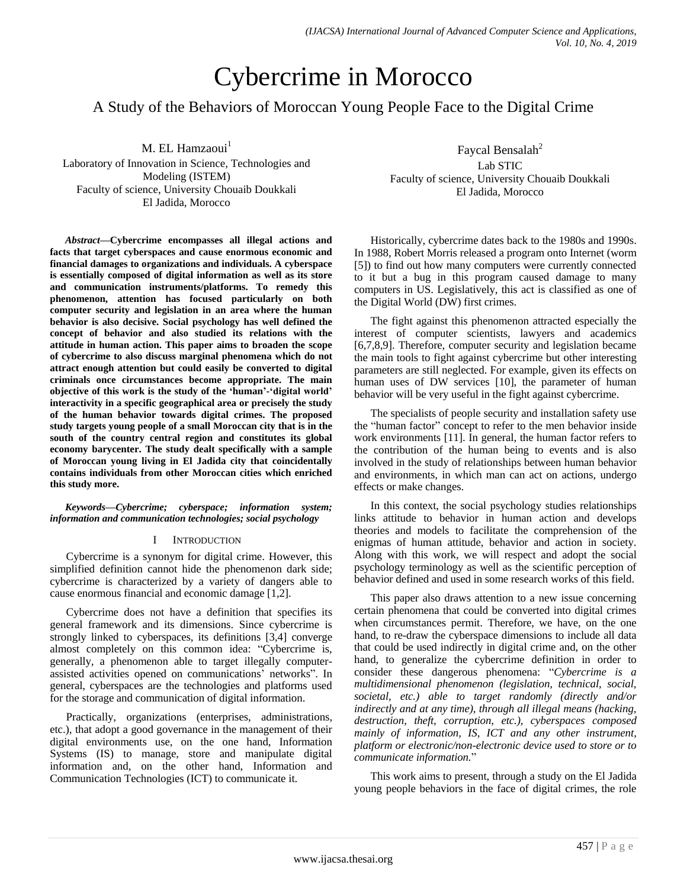# Cybercrime in Morocco

A Study of the Behaviors of Moroccan Young People Face to the Digital Crime

M. EL Hamzaoui<sup>1</sup> Laboratory of Innovation in Science, Technologies and Modeling (ISTEM) Faculty of science, University Chouaib Doukkali El Jadida, Morocco

*Abstract***—Cybercrime encompasses all illegal actions and facts that target cyberspaces and cause enormous economic and financial damages to organizations and individuals. A cyberspace is essentially composed of digital information as well as its store and communication instruments/platforms. To remedy this phenomenon, attention has focused particularly on both computer security and legislation in an area where the human behavior is also decisive. Social psychology has well defined the concept of behavior and also studied its relations with the attitude in human action. This paper aims to broaden the scope of cybercrime to also discuss marginal phenomena which do not attract enough attention but could easily be converted to digital criminals once circumstances become appropriate. The main objective of this work is the study of the 'human'-'digital world' interactivity in a specific geographical area or precisely the study of the human behavior towards digital crimes. The proposed study targets young people of a small Moroccan city that is in the south of the country central region and constitutes its global economy barycenter. The study dealt specifically with a sample of Moroccan young living in El Jadida city that coincidentally contains individuals from other Moroccan cities which enriched this study more.**

*Keywords—Cybercrime; cyberspace; information system; information and communication technologies; social psychology*

## I INTRODUCTION

Cybercrime is a synonym for digital crime. However, this simplified definition cannot hide the phenomenon dark side; cybercrime is characterized by a variety of dangers able to cause enormous financial and economic damage [1,2].

Cybercrime does not have a definition that specifies its general framework and its dimensions. Since cybercrime is strongly linked to cyberspaces, its definitions [3,4] converge almost completely on this common idea: "Cybercrime is, generally, a phenomenon able to target illegally computerassisted activities opened on communications" networks". In general, cyberspaces are the technologies and platforms used for the storage and communication of digital information.

Practically, organizations (enterprises, administrations, etc.), that adopt a good governance in the management of their digital environments use, on the one hand, Information Systems (IS) to manage, store and manipulate digital information and, on the other hand, Information and Communication Technologies (ICT) to communicate it.

Faycal Bensalah<sup>2</sup> Lab STIC Faculty of science, University Chouaib Doukkali El Jadida, Morocco

Historically, cybercrime dates back to the 1980s and 1990s. In 1988, Robert Morris released a program onto Internet (worm [5]) to find out how many computers were currently connected to it but a bug in this program caused damage to many computers in US. Legislatively, this act is classified as one of the Digital World (DW) first crimes.

The fight against this phenomenon attracted especially the interest of computer scientists, lawyers and academics [6,7,8,9]. Therefore, computer security and legislation became the main tools to fight against cybercrime but other interesting parameters are still neglected. For example, given its effects on human uses of DW services [10], the parameter of human behavior will be very useful in the fight against cybercrime.

The specialists of people security and installation safety use the "human factor" concept to refer to the men behavior inside work environments [11]. In general, the human factor refers to the contribution of the human being to events and is also involved in the study of relationships between human behavior and environments, in which man can act on actions, undergo effects or make changes.

In this context, the social psychology studies relationships links attitude to behavior in human action and develops theories and models to facilitate the comprehension of the enigmas of human attitude, behavior and action in society. Along with this work, we will respect and adopt the social psychology terminology as well as the scientific perception of behavior defined and used in some research works of this field.

This paper also draws attention to a new issue concerning certain phenomena that could be converted into digital crimes when circumstances permit. Therefore, we have, on the one hand, to re-draw the cyberspace dimensions to include all data that could be used indirectly in digital crime and, on the other hand, to generalize the cybercrime definition in order to consider these dangerous phenomena: "*Cybercrime is a multidimensional phenomenon (legislation, technical, social, societal, etc.) able to target randomly (directly and/or indirectly and at any time), through all illegal means (hacking, destruction, theft, corruption, etc.), cyberspaces composed mainly of information, IS, ICT and any other instrument, platform or electronic/non-electronic device used to store or to communicate information.*"

This work aims to present, through a study on the El Jadida young people behaviors in the face of digital crimes, the role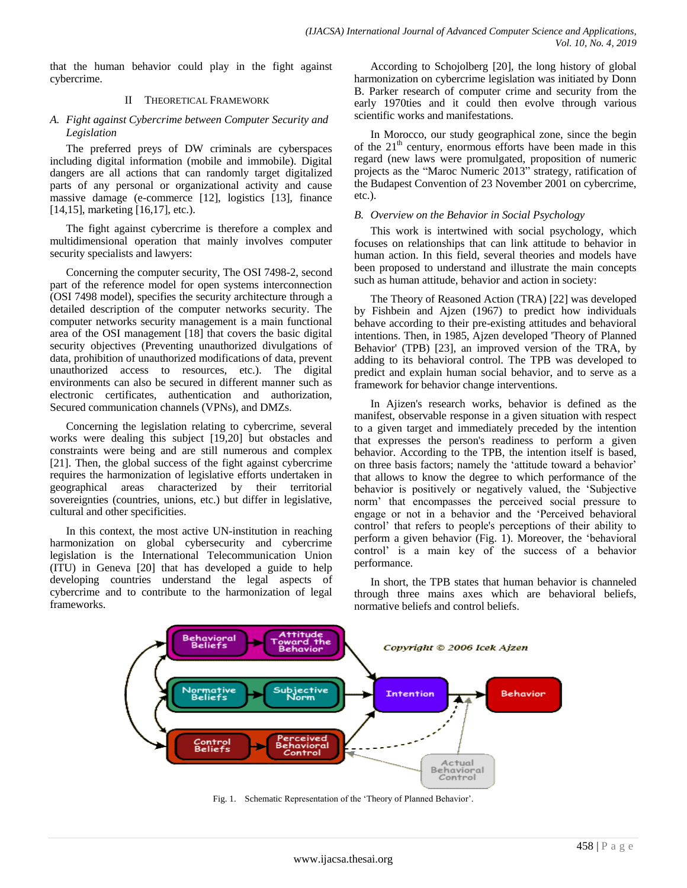that the human behavior could play in the fight against cybercrime.

## II THEORETICAL FRAMEWORK

## *A. Fight against Cybercrime between Computer Security and Legislation*

The preferred preys of DW criminals are cyberspaces including digital information (mobile and immobile). Digital dangers are all actions that can randomly target digitalized parts of any personal or organizational activity and cause massive damage (e-commerce [12], logistics [13], finance [14,15], marketing [16,17], etc.).

The fight against cybercrime is therefore a complex and multidimensional operation that mainly involves computer security specialists and lawyers:

Concerning the computer security, The OSI 7498-2, second part of the reference model for open systems interconnection (OSI 7498 model), specifies the security architecture through a detailed description of the computer networks security. The computer networks security management is a main functional area of the OSI management [18] that covers the basic digital security objectives (Preventing unauthorized divulgations of data, prohibition of unauthorized modifications of data, prevent unauthorized access to resources, etc.). The digital environments can also be secured in different manner such as electronic certificates, authentication and authorization, Secured communication channels (VPNs), and DMZs.

Concerning the legislation relating to cybercrime, several works were dealing this subject [19,20] but obstacles and constraints were being and are still numerous and complex [21]. Then, the global success of the fight against cybercrime requires the harmonization of legislative efforts undertaken in geographical areas characterized by their territorial sovereignties (countries, unions, etc.) but differ in legislative, cultural and other specificities.

In this context, the most active UN-institution in reaching harmonization on global cybersecurity and cybercrime legislation is the International Telecommunication Union (ITU) in Geneva [20] that has developed a guide to help developing countries understand the legal aspects of cybercrime and to contribute to the harmonization of legal frameworks.

According to Schojolberg [20], the long history of global harmonization on cybercrime legislation was initiated by Donn B. Parker research of computer crime and security from the early 1970ties and it could then evolve through various scientific works and manifestations.

In Morocco, our study geographical zone, since the begin of the  $21<sup>th</sup>$  century, enormous efforts have been made in this regard (new laws were promulgated, proposition of numeric projects as the "Maroc Numeric 2013" strategy, ratification of the Budapest Convention of 23 November 2001 on cybercrime, etc.).

## *B. Overview on the Behavior in Social Psychology*

This work is intertwined with social psychology, which focuses on relationships that can link attitude to behavior in human action. In this field, several theories and models have been proposed to understand and illustrate the main concepts such as human attitude, behavior and action in society:

The Theory of Reasoned Action (TRA) [22] was developed by Fishbein and Ajzen (1967) to predict how individuals behave according to their pre-existing attitudes and behavioral intentions. Then, in 1985, Ajzen developed 'Theory of Planned Behavior' (TPB) [23], an improved version of the TRA, by adding to its behavioral control. The TPB was developed to predict and explain human social behavior, and to serve as a framework for behavior change interventions.

In Ajizen's research works, behavior is defined as the manifest, observable response in a given situation with respect to a given target and immediately preceded by the intention that expresses the person's readiness to perform a given behavior. According to the TPB, the intention itself is based, on three basis factors; namely the "attitude toward a behavior" that allows to know the degree to which performance of the behavior is positively or negatively valued, the "Subjective norm" that encompasses the perceived social pressure to engage or not in a behavior and the "Perceived behavioral control" that refers to people's perceptions of their ability to perform a given behavior (Fig. 1). Moreover, the "behavioral control" is a main key of the success of a behavior performance.

In short, the TPB states that human behavior is channeled through three mains axes which are behavioral beliefs, normative beliefs and control beliefs.



Fig. 1. Schematic Representation of the 'Theory of Planned Behavior'.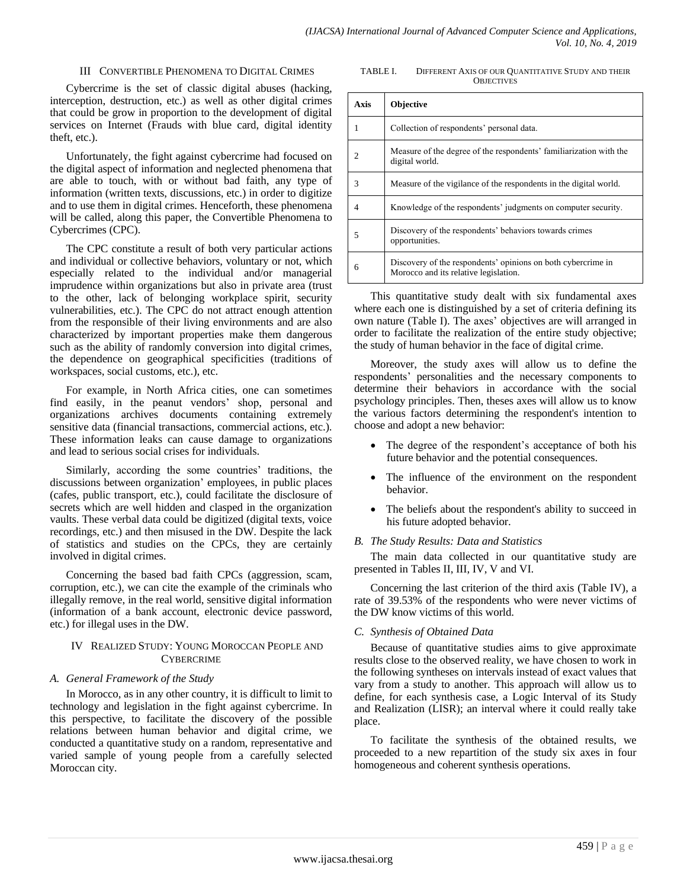#### III CONVERTIBLE PHENOMENA TO DIGITAL CRIMES

#### TABLE I. DIFFERENT AXIS OF OUR QUANTITATIVE STUDY AND THEIR **OBJECTIVES**

Cybercrime is the set of classic digital abuses (hacking, interception, destruction, etc.) as well as other digital crimes that could be grow in proportion to the development of digital services on Internet (Frauds with blue card, digital identity theft, etc.).

Unfortunately, the fight against cybercrime had focused on the digital aspect of information and neglected phenomena that are able to touch, with or without bad faith, any type of information (written texts, discussions, etc.) in order to digitize and to use them in digital crimes. Henceforth, these phenomena will be called, along this paper, the Convertible Phenomena to Cybercrimes (CPC).

The CPC constitute a result of both very particular actions and individual or collective behaviors, voluntary or not, which especially related to the individual and/or managerial imprudence within organizations but also in private area (trust to the other, lack of belonging workplace spirit, security vulnerabilities, etc.). The CPC do not attract enough attention from the responsible of their living environments and are also characterized by important properties make them dangerous such as the ability of randomly conversion into digital crimes, the dependence on geographical specificities (traditions of workspaces, social customs, etc.), etc.

For example, in North Africa cities, one can sometimes find easily, in the peanut vendors' shop, personal and organizations archives documents containing extremely sensitive data (financial transactions, commercial actions, etc.). These information leaks can cause damage to organizations and lead to serious social crises for individuals.

Similarly, according the some countries' traditions, the discussions between organization" employees, in public places (cafes, public transport, etc.), could facilitate the disclosure of secrets which are well hidden and clasped in the organization vaults. These verbal data could be digitized (digital texts, voice recordings, etc.) and then misused in the DW. Despite the lack of statistics and studies on the CPCs, they are certainly involved in digital crimes.

Concerning the based bad faith CPCs (aggression, scam, corruption, etc.), we can cite the example of the criminals who illegally remove, in the real world, sensitive digital information (information of a bank account, electronic device password, etc.) for illegal uses in the DW.

## IV REALIZED STUDY: YOUNG MOROCCAN PEOPLE AND **CYBERCRIME**

## *A. General Framework of the Study*

In Morocco, as in any other country, it is difficult to limit to technology and legislation in the fight against cybercrime. In this perspective, to facilitate the discovery of the possible relations between human behavior and digital crime, we conducted a quantitative study on a random, representative and varied sample of young people from a carefully selected Moroccan city.

| <b>Axis</b> | <b>Objective</b>                                                                                      |
|-------------|-------------------------------------------------------------------------------------------------------|
| 1           | Collection of respondents' personal data.                                                             |
| っ           | Measure of the degree of the respondents' familiarization with the<br>digital world.                  |
| 3           | Measure of the vigilance of the respondents in the digital world.                                     |
| 4           | Knowledge of the respondents' judgments on computer security.                                         |
| 5           | Discovery of the respondents' behaviors towards crimes<br>opportunities.                              |
| 6           | Discovery of the respondents' opinions on both cybercrime in<br>Morocco and its relative legislation. |

This quantitative study dealt with six fundamental axes where each one is distinguished by a set of criteria defining its own nature (Table I). The axes' objectives are will arranged in order to facilitate the realization of the entire study objective; the study of human behavior in the face of digital crime.

Moreover, the study axes will allow us to define the respondents" personalities and the necessary components to determine their behaviors in accordance with the social psychology principles. Then, theses axes will allow us to know the various factors determining the respondent's intention to choose and adopt a new behavior:

- The degree of the respondent's acceptance of both his future behavior and the potential consequences.
- The influence of the environment on the respondent behavior.
- The beliefs about the respondent's ability to succeed in his future adopted behavior.

### *B. The Study Results: Data and Statistics*

The main data collected in our quantitative study are presented in Tables II, III, IV, V and VI.

Concerning the last criterion of the third axis (Table IV), a rate of 39.53% of the respondents who were never victims of the DW know victims of this world.

#### *C. Synthesis of Obtained Data*

Because of quantitative studies aims to give approximate results close to the observed reality, we have chosen to work in the following syntheses on intervals instead of exact values that vary from a study to another. This approach will allow us to define, for each synthesis case, a Logic Interval of its Study and Realization (LISR); an interval where it could really take place.

To facilitate the synthesis of the obtained results, we proceeded to a new repartition of the study six axes in four homogeneous and coherent synthesis operations.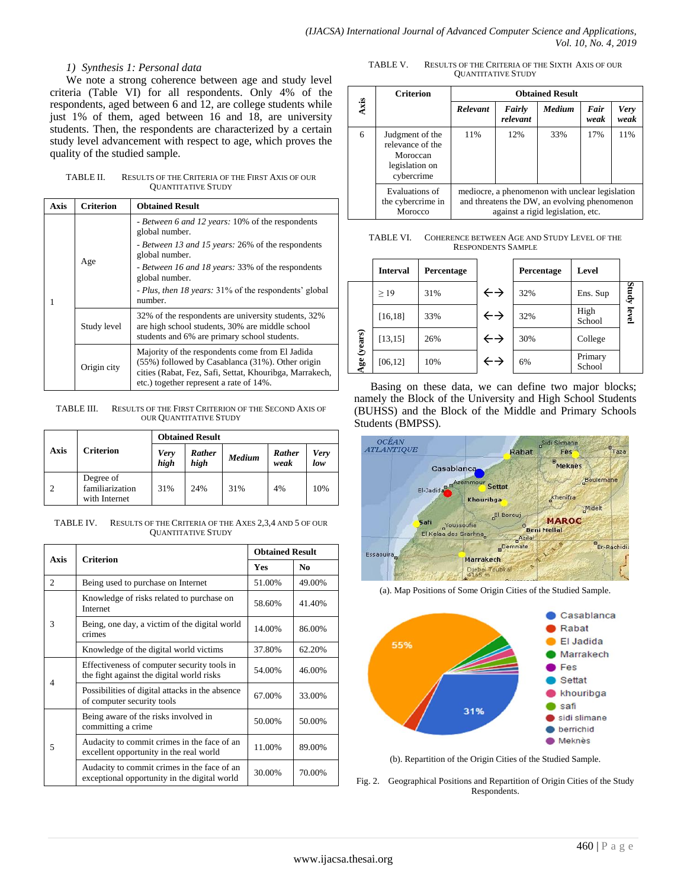## *1) Synthesis 1: Personal data*

We note a strong coherence between age and study level criteria (Table VI) for all respondents. Only 4% of the respondents, aged between 6 and 12, are college students while just 1% of them, aged between 16 and 18, are university students. Then, the respondents are characterized by a certain study level advancement with respect to age, which proves the quality of the studied sample.

TABLE II. RESULTS OF THE CRITERIA OF THE FIRST AXIS OF OUR QUANTITATIVE STUDY

| Axis | <b>Criterion</b> | <b>Obtained Result</b>                                                                                                                                                                                    |
|------|------------------|-----------------------------------------------------------------------------------------------------------------------------------------------------------------------------------------------------------|
|      |                  | - Between 6 and 12 years: 10% of the respondents<br>global number.                                                                                                                                        |
|      | Age              | - Between 13 and 15 years: 26% of the respondents<br>global number.                                                                                                                                       |
|      |                  | - Between 16 and 18 years: 33% of the respondents<br>global number.                                                                                                                                       |
|      |                  | - Plus, then 18 years: 31% of the respondents' global<br>number.                                                                                                                                          |
|      | Study level      | 32% of the respondents are university students, 32%<br>are high school students, 30% are middle school<br>students and 6% are primary school students.                                                    |
|      | Origin city      | Majority of the respondents come from El Jadida<br>(55%) followed by Casablanca (31%). Other origin<br>cities (Rabat, Fez, Safi, Settat, Khouribga, Marrakech,<br>etc.) together represent a rate of 14%. |

TABLE III. RESULTS OF THE FIRST CRITERION OF THE SECOND AXIS OF OUR QUANTITATIVE STUDY

|      |                                               | <b>Obtained Result</b> |                |        |                |                    |
|------|-----------------------------------------------|------------------------|----------------|--------|----------------|--------------------|
| Axis | <b>Criterion</b>                              | <b>Very</b><br>high    | Rather<br>high | Medium | Rather<br>weak | <b>Very</b><br>low |
| ∍    | Degree of<br>familiarization<br>with Internet | 31%                    | 24%            | 31%    | 4%             | 10%                |

TABLE IV. RESULTS OF THE CRITERIA OF THE AXES 2,3,4 AND 5 OF OUR QUANTITATIVE STUDY

| Axis           | <b>Criterion</b>                                                                            |            | <b>Obtained Result</b> |  |  |
|----------------|---------------------------------------------------------------------------------------------|------------|------------------------|--|--|
|                |                                                                                             | <b>Yes</b> | No                     |  |  |
| $\overline{c}$ | Being used to purchase on Internet                                                          | 51.00%     | 49.00%                 |  |  |
|                | Knowledge of risks related to purchase on<br>Internet                                       | 58.60%     | 41.40%                 |  |  |
| 3              | Being, one day, a victim of the digital world<br>crimes                                     | 14.00%     | 86.00%                 |  |  |
|                | Knowledge of the digital world victims                                                      | 37.80%     | 62.20%                 |  |  |
| 4              | Effectiveness of computer security tools in<br>the fight against the digital world risks    | 54.00%     | 46.00%                 |  |  |
|                | Possibilities of digital attacks in the absence<br>of computer security tools               | 67.00%     | 33.00%                 |  |  |
|                | Being aware of the risks involved in<br>committing a crime                                  | 50.00%     | 50.00%                 |  |  |
| 5              | Audacity to commit crimes in the face of an<br>excellent opportunity in the real world      | 11.00%     | 89.00%                 |  |  |
|                | Audacity to commit crimes in the face of an<br>exceptional opportunity in the digital world | 30.00%     | 70.00%                 |  |  |

TABLE V. RESULTS OF THE CRITERIA OF THE SIXTH AXIS OF OUR QUANTITATIVE STUDY

|      | <b>Criterion</b>                                                                                                                                                                       | <b>Obtained Result</b> |                    |               |              |                     |  |
|------|----------------------------------------------------------------------------------------------------------------------------------------------------------------------------------------|------------------------|--------------------|---------------|--------------|---------------------|--|
| Axis |                                                                                                                                                                                        | Relevant               | Fairly<br>relevant | <b>Medium</b> | Fair<br>weak | <b>Very</b><br>weak |  |
| 6    | Judgment of the<br>relevance of the<br>Moroccan<br>legislation on<br>cybercrime                                                                                                        | 11%                    | 12%                | 33%           | 17%          | 11%                 |  |
|      | Evaluations of<br>mediocre, a phenomenon with unclear legislation<br>and threatens the DW, an evolving phenomenon<br>the cybercrime in<br>against a rigid legislation, etc.<br>Morocco |                        |                    |               |              |                     |  |

TABLE VI. COHERENCE BETWEEN AGE AND STUDY LEVEL OF THE RESPONDENTS SAMPLE

|         | <b>Interval</b> | Percentage |                   | Percentage | Level             |             |
|---------|-----------------|------------|-------------------|------------|-------------------|-------------|
|         | >19             | 31%        | $\leftrightarrow$ | 32%        | Ens. Sup          | Study level |
|         | [16, 18]        | 33%        | $\leftrightarrow$ | 32%        | High<br>School    |             |
| (years) | [13, 15]        | 26%        | $\leftrightarrow$ | 30%        | College           |             |
| Age     | [06, 12]        | 10%        | $\leftrightarrow$ | 6%         | Primary<br>School |             |

Basing on these data, we can define two major blocks; namely the Block of the University and High School Students (BUHSS) and the Block of the Middle and Primary Schools Students (BMPSS).



(a). Map Positions of Some Origin Cities of the Studied Sample.



(b). Repartition of the Origin Cities of the Studied Sample.

Fig. 2. Geographical Positions and Repartition of Origin Cities of the Study Respondents.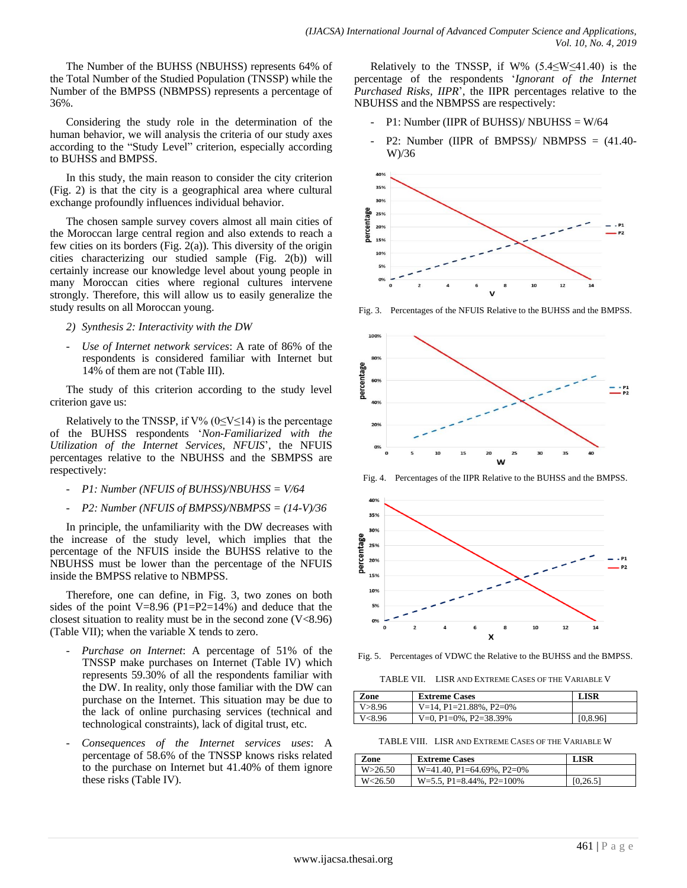The Number of the BUHSS (NBUHSS) represents 64% of the Total Number of the Studied Population (TNSSP) while the Number of the BMPSS (NBMPSS) represents a percentage of 36%.

Considering the study role in the determination of the human behavior, we will analysis the criteria of our study axes according to the "Study Level" criterion, especially according to BUHSS and BMPSS.

In this study, the main reason to consider the city criterion (Fig. 2) is that the city is a geographical area where cultural exchange profoundly influences individual behavior.

The chosen sample survey covers almost all main cities of the Moroccan large central region and also extends to reach a few cities on its borders (Fig.  $2(a)$ ). This diversity of the origin cities characterizing our studied sample (Fig. 2(b)) will certainly increase our knowledge level about young people in many Moroccan cities where regional cultures intervene strongly. Therefore, this will allow us to easily generalize the study results on all Moroccan young.

- *2) Synthesis 2: Interactivity with the DW*
- *Use of Internet network services*: A rate of 86% of the respondents is considered familiar with Internet but 14% of them are not (Table III).

The study of this criterion according to the study level criterion gave us:

Relatively to the TNSSP, if  $V\%$  (0≤V≤14) is the percentage of the BUHSS respondents "*Non-Familiarized with the Utilization of the Internet Services, NFUIS*", the NFUIS percentages relative to the NBUHSS and the SBMPSS are respectively:

- *P1: Number (NFUIS of BUHSS)/NBUHSS = V/64*
- *P2: Number (NFUIS of BMPSS)/NBMPSS = (14-V)/36*

In principle, the unfamiliarity with the DW decreases with the increase of the study level, which implies that the percentage of the NFUIS inside the BUHSS relative to the NBUHSS must be lower than the percentage of the NFUIS inside the BMPSS relative to NBMPSS.

Therefore, one can define, in Fig. 3, two zones on both sides of the point V=8.96 (P1=P2=14%) and deduce that the closest situation to reality must be in the second zone  $(V<8.96)$ (Table VII); when the variable X tends to zero.

- *Purchase on Internet*: A percentage of 51% of the TNSSP make purchases on Internet (Table IV) which represents 59.30% of all the respondents familiar with the DW. In reality, only those familiar with the DW can purchase on the Internet. This situation may be due to the lack of online purchasing services (technical and technological constraints), lack of digital trust, etc.
- *Consequences of the Internet services uses*: A percentage of 58.6% of the TNSSP knows risks related to the purchase on Internet but 41.40% of them ignore these risks (Table IV).

Relatively to the TNSSP, if W%  $(5.4 \le W \le 41.40)$  is the percentage of the respondents "*Ignorant of the Internet Purchased Risks, IIPR*", the IIPR percentages relative to the NBUHSS and the NBMPSS are respectively:

- P1: Number (IIPR of BUHSS)/ NBUHSS = W/64
- P2: Number (IIPR of BMPSS)/ NBMPSS = (41.40- W)/36



Fig. 3. Percentages of the NFUIS Relative to the BUHSS and the BMPSS.



Fig. 4. Percentages of the IIPR Relative to the BUHSS and the BMPSS.



Fig. 5. Percentages of VDWC the Relative to the BUHSS and the BMPSS.

TABLE VII. LISR AND EXTREME CASES OF THE VARIABLE V

| Zone     | <b>Extreme Cases</b>      | LISR     |
|----------|---------------------------|----------|
| V > 8.96 | $V=14$ , P1=21.88%, P2=0% |          |
| V<8.96   | V=0, P1=0%, P2=38.39%     | [0.8.96] |

TABLE VIII. LISR AND EXTREME CASES OF THE VARIABLE W

| Zone      | <b>Extreme Cases</b>         | LISR     |
|-----------|------------------------------|----------|
| W > 26.50 | $W=41.40$ , P1=64.69%, P2=0% |          |
| W < 26.50 | $W=5.5$ , P1=8.44%, P2=100%  | [0.26.5] |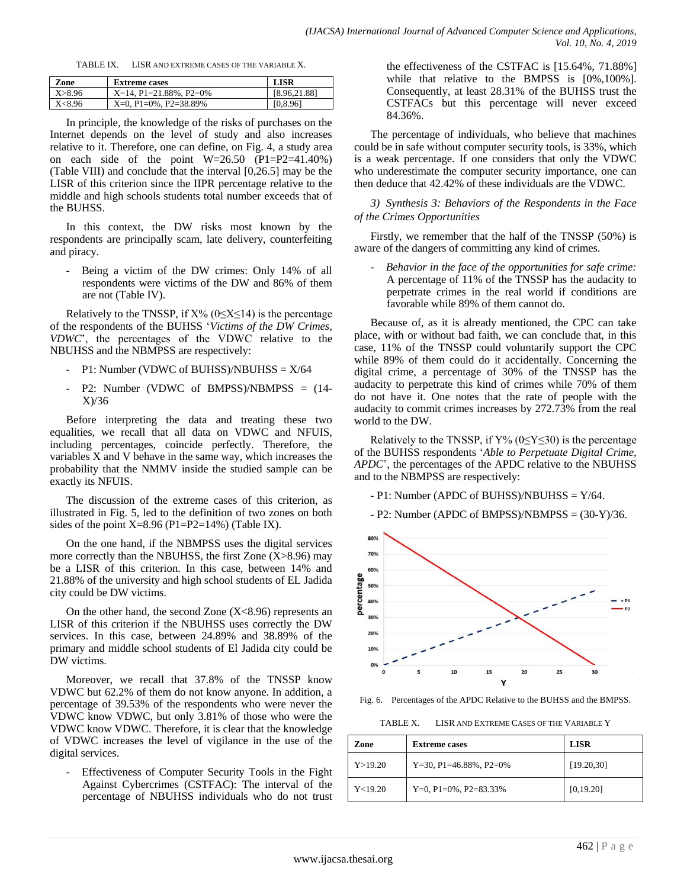TABLE IX. LISR AND EXTREME CASES OF THE VARIABLE X.

| Zone   | <b>Extreme cases</b>         | <b>LISR</b>  |
|--------|------------------------------|--------------|
| X>8.96 | $X=14$ , P1=21.88%, P2=0%    | [8.96.21.88] |
| X<8.96 | $X=0. P1=0\%$ . $P2=38.89\%$ | [0, 8.96]    |

In principle, the knowledge of the risks of purchases on the Internet depends on the level of study and also increases relative to it. Therefore, one can define, on Fig. 4, a study area on each side of the point  $W=26.50$  (P1=P2=41.40%) (Table VIII) and conclude that the interval [0,26.5] may be the LISR of this criterion since the IIPR percentage relative to the middle and high schools students total number exceeds that of the BUHSS.

In this context, the DW risks most known by the respondents are principally scam, late delivery, counterfeiting and piracy.

Being a victim of the DW crimes: Only 14% of all respondents were victims of the DW and 86% of them are not (Table IV).

Relatively to the TNSSP, if  $X\%$  (0≤X≤14) is the percentage of the respondents of the BUHSS "*Victims of the DW Crimes, VDWC*", the percentages of the VDWC relative to the NBUHSS and the NBMPSS are respectively:

- P1: Number (VDWC of BUHSS)/NBUHSS =  $X/64$
- P2: Number (VDWC of BMPSS)/NBMPSS = (14- X)/36

Before interpreting the data and treating these two equalities, we recall that all data on VDWC and NFUIS, including percentages, coincide perfectly. Therefore, the variables X and V behave in the same way, which increases the probability that the NMMV inside the studied sample can be exactly its NFUIS.

The discussion of the extreme cases of this criterion, as illustrated in Fig. 5, led to the definition of two zones on both sides of the point  $X=8.96$  (P1=P2=14%) (Table IX).

On the one hand, if the NBMPSS uses the digital services more correctly than the NBUHSS, the first Zone (X>8.96) may be a LISR of this criterion. In this case, between 14% and 21.88% of the university and high school students of EL Jadida city could be DW victims.

On the other hand, the second Zone  $(X<8.96)$  represents an LISR of this criterion if the NBUHSS uses correctly the DW services. In this case, between 24.89% and 38.89% of the primary and middle school students of El Jadida city could be DW victims.

Moreover, we recall that 37.8% of the TNSSP know VDWC but 62.2% of them do not know anyone. In addition, a percentage of 39.53% of the respondents who were never the VDWC know VDWC, but only 3.81% of those who were the VDWC know VDWC. Therefore, it is clear that the knowledge of VDWC increases the level of vigilance in the use of the digital services.

Effectiveness of Computer Security Tools in the Fight Against Cybercrimes (CSTFAC): The interval of the percentage of NBUHSS individuals who do not trust

the effectiveness of the CSTFAC is [15.64%, 71.88%] while that relative to the BMPSS is [0%,100%]. Consequently, at least 28.31% of the BUHSS trust the CSTFACs but this percentage will never exceed 84.36%.

The percentage of individuals, who believe that machines could be in safe without computer security tools, is 33%, which is a weak percentage. If one considers that only the VDWC who underestimate the computer security importance, one can then deduce that 42.42% of these individuals are the VDWC.

*3) Synthesis 3: Behaviors of the Respondents in the Face of the Crimes Opportunities*

Firstly, we remember that the half of the TNSSP (50%) is aware of the dangers of committing any kind of crimes.

- *Behavior in the face of the opportunities for safe crime:* A percentage of 11% of the TNSSP has the audacity to perpetrate crimes in the real world if conditions are favorable while 89% of them cannot do.

Because of, as it is already mentioned, the CPC can take place, with or without bad faith, we can conclude that, in this case, 11% of the TNSSP could voluntarily support the CPC while 89% of them could do it accidentally. Concerning the digital crime, a percentage of 30% of the TNSSP has the audacity to perpetrate this kind of crimes while 70% of them do not have it. One notes that the rate of people with the audacity to commit crimes increases by 272.73% from the real world to the DW.

Relatively to the TNSSP, if  $Y\%$  (0≤Y≤30) is the percentage of the BUHSS respondents "*Able to Perpetuate Digital Crime, APDC*", the percentages of the APDC relative to the NBUHSS and to the NBMPSS are respectively:

- P1: Number (APDC of BUHSS)/NBUHSS = Y/64.

- P2: Number (APDC of BMPSS)/NBMPSS = (30-Y)/36.



Fig. 6. Percentages of the APDC Relative to the BUHSS and the BMPSS.

TABLE X. LISR AND EXTREME CASES OF THE VARIABLE Y

| Zone<br><b>Extreme cases</b> |                           | <b>LISR</b> |
|------------------------------|---------------------------|-------------|
| Y > 19.20                    | $Y=30$ , P1=46.88%, P2=0% | [19.20, 30] |
| Y<19.20                      | Y=0, P1=0%, P2=83.33%     | [0, 19.20]  |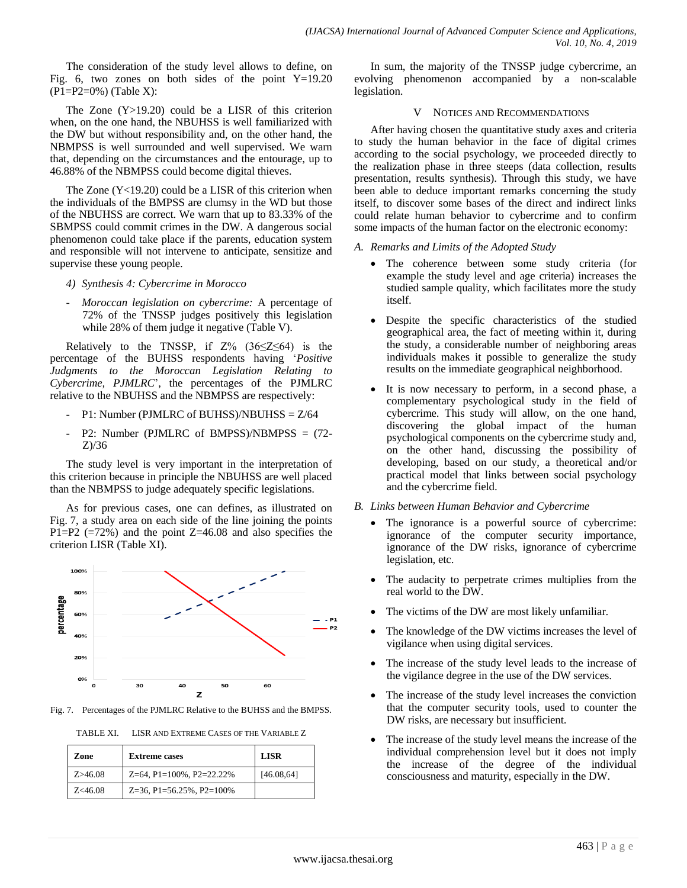The consideration of the study level allows to define, on Fig. 6, two zones on both sides of the point  $Y=19.20$  $(P1 = P2 = 0\%)$  (Table X):

The Zone (Y>19.20) could be a LISR of this criterion when, on the one hand, the NBUHSS is well familiarized with the DW but without responsibility and, on the other hand, the NBMPSS is well surrounded and well supervised. We warn that, depending on the circumstances and the entourage, up to 46.88% of the NBMPSS could become digital thieves.

The Zone (Y<19.20) could be a LISR of this criterion when the individuals of the BMPSS are clumsy in the WD but those of the NBUHSS are correct. We warn that up to 83.33% of the SBMPSS could commit crimes in the DW. A dangerous social phenomenon could take place if the parents, education system and responsible will not intervene to anticipate, sensitize and supervise these young people.

- *4) Synthesis 4: Cybercrime in Morocco*
- *Moroccan legislation on cybercrime:* A percentage of 72% of the TNSSP judges positively this legislation while 28% of them judge it negative (Table V).

Relatively to the TNSSP, if  $Z\%$  (36≤Z≤64) is the percentage of the BUHSS respondents having "*Positive Judgments to the Moroccan Legislation Relating to Cybercrime, PJMLRC*", the percentages of the PJMLRC relative to the NBUHSS and the NBMPSS are respectively:

- P1: Number (PJMLRC of BUHSS)/NBUHSS = Z/64
- P2: Number (PJMLRC of BMPSS)/NBMPSS = (72- Z)/36

The study level is very important in the interpretation of this criterion because in principle the NBUHSS are well placed than the NBMPSS to judge adequately specific legislations.

As for previous cases, one can defines, as illustrated on Fig. 7, a study area on each side of the line joining the points P1=P2  $(=72\%)$  and the point Z=46.08 and also specifies the criterion LISR (Table XI).



Fig. 7. Percentages of the PJMLRC Relative to the BUHSS and the BMPSS.

TABLE XI. LISR AND EXTREME CASES OF THE VARIABLE Z

| Zone       | <b>Extreme cases</b>        | <b>LISR</b> |
|------------|-----------------------------|-------------|
| Z > 46.08  | $Z=64$ , P1=100%, P2=22.22% | [46.08, 64] |
| $Z<$ 46.08 | $Z=36$ , P1=56.25%, P2=100% |             |

In sum, the majority of the TNSSP judge cybercrime, an evolving phenomenon accompanied by a non-scalable legislation.

## V NOTICES AND RECOMMENDATIONS

After having chosen the quantitative study axes and criteria to study the human behavior in the face of digital crimes according to the social psychology, we proceeded directly to the realization phase in three steeps (data collection, results presentation, results synthesis). Through this study, we have been able to deduce important remarks concerning the study itself, to discover some bases of the direct and indirect links could relate human behavior to cybercrime and to confirm some impacts of the human factor on the electronic economy:

# *A. Remarks and Limits of the Adopted Study*

- The coherence between some study criteria (for example the study level and age criteria) increases the studied sample quality, which facilitates more the study itself.
- Despite the specific characteristics of the studied geographical area, the fact of meeting within it, during the study, a considerable number of neighboring areas individuals makes it possible to generalize the study results on the immediate geographical neighborhood.
- It is now necessary to perform, in a second phase, a complementary psychological study in the field of cybercrime. This study will allow, on the one hand, discovering the global impact of the human psychological components on the cybercrime study and, on the other hand, discussing the possibility of developing, based on our study, a theoretical and/or practical model that links between social psychology and the cybercrime field.

## *B. Links between Human Behavior and Cybercrime*

- The ignorance is a powerful source of cybercrime: ignorance of the computer security importance, ignorance of the DW risks, ignorance of cybercrime legislation, etc.
- The audacity to perpetrate crimes multiplies from the real world to the DW.
- The victims of the DW are most likely unfamiliar.
- The knowledge of the DW victims increases the level of vigilance when using digital services.
- The increase of the study level leads to the increase of the vigilance degree in the use of the DW services.
- The increase of the study level increases the conviction that the computer security tools, used to counter the DW risks, are necessary but insufficient.
- The increase of the study level means the increase of the individual comprehension level but it does not imply the increase of the degree of the individual consciousness and maturity, especially in the DW.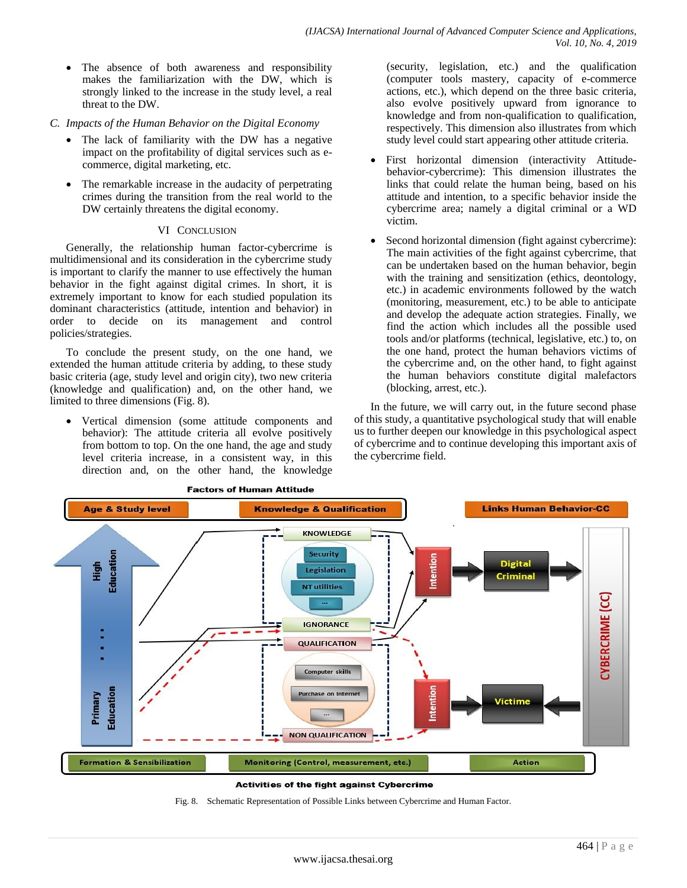- The absence of both awareness and responsibility makes the familiarization with the DW, which is strongly linked to the increase in the study level, a real threat to the DW.
- *C. Impacts of the Human Behavior on the Digital Economy*
	- The lack of familiarity with the DW has a negative impact on the profitability of digital services such as ecommerce, digital marketing, etc.
	- The remarkable increase in the audacity of perpetrating crimes during the transition from the real world to the DW certainly threatens the digital economy.

## VI CONCLUSION

Generally, the relationship human factor-cybercrime is multidimensional and its consideration in the cybercrime study is important to clarify the manner to use effectively the human behavior in the fight against digital crimes. In short, it is extremely important to know for each studied population its dominant characteristics (attitude, intention and behavior) in order to decide on its management and control policies/strategies.

To conclude the present study, on the one hand, we extended the human attitude criteria by adding, to these study basic criteria (age, study level and origin city), two new criteria (knowledge and qualification) and, on the other hand, we limited to three dimensions (Fig. 8).

 Vertical dimension (some attitude components and behavior): The attitude criteria all evolve positively from bottom to top. On the one hand, the age and study level criteria increase, in a consistent way, in this direction and, on the other hand, the knowledge

(security, legislation, etc.) and the qualification (computer tools mastery, capacity of e-commerce actions, etc.), which depend on the three basic criteria, also evolve positively upward from ignorance to knowledge and from non-qualification to qualification, respectively. This dimension also illustrates from which study level could start appearing other attitude criteria.

- First horizontal dimension (interactivity Attitudebehavior-cybercrime): This dimension illustrates the links that could relate the human being, based on his attitude and intention, to a specific behavior inside the cybercrime area; namely a digital criminal or a WD victim.
- Second horizontal dimension (fight against cybercrime): The main activities of the fight against cybercrime, that can be undertaken based on the human behavior, begin with the training and sensitization (ethics, deontology, etc.) in academic environments followed by the watch (monitoring, measurement, etc.) to be able to anticipate and develop the adequate action strategies. Finally, we find the action which includes all the possible used tools and/or platforms (technical, legislative, etc.) to, on the one hand, protect the human behaviors victims of the cybercrime and, on the other hand, to fight against the human behaviors constitute digital malefactors (blocking, arrest, etc.).

In the future, we will carry out, in the future second phase of this study, a quantitative psychological study that will enable us to further deepen our knowledge in this psychological aspect of cybercrime and to continue developing this important axis of the cybercrime field.



#### Activities of the fight against Cybercrime

Fig. 8. Schematic Representation of Possible Links between Cybercrime and Human Factor.